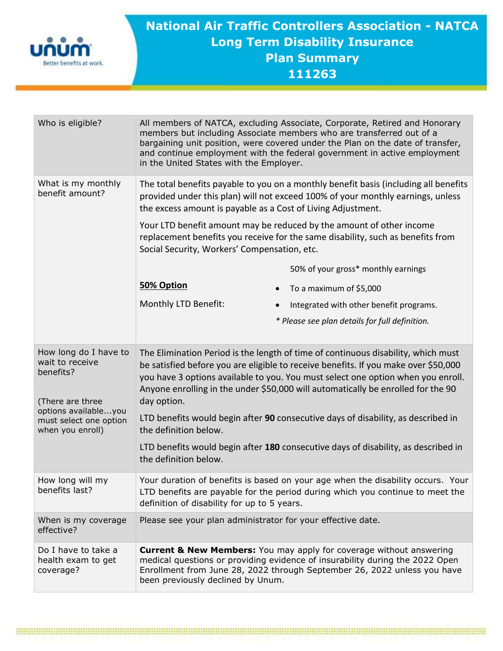

## **National Air Traffic Controllers Association - NATCA Long Term Disability Insurance Plan Summary 111263**

| Who is eligible?                                                                                                                                | All members of NATCA, excluding Associate, Corporate, Retired and Honorary<br>members but including Associate members who are transferred out of a<br>bargaining unit position, were covered under the Plan on the date of transfer,<br>and continue employment with the federal government in active employment<br>in the United States with the Employer.     |
|-------------------------------------------------------------------------------------------------------------------------------------------------|-----------------------------------------------------------------------------------------------------------------------------------------------------------------------------------------------------------------------------------------------------------------------------------------------------------------------------------------------------------------|
| What is my monthly<br>benefit amount?                                                                                                           | The total benefits payable to you on a monthly benefit basis (including all benefits<br>provided under this plan) will not exceed 100% of your monthly earnings, unless<br>the excess amount is payable as a Cost of Living Adjustment.                                                                                                                         |
|                                                                                                                                                 | Your LTD benefit amount may be reduced by the amount of other income<br>replacement benefits you receive for the same disability, such as benefits from<br>Social Security, Workers' Compensation, etc.                                                                                                                                                         |
|                                                                                                                                                 | 50% of your gross* monthly earnings                                                                                                                                                                                                                                                                                                                             |
|                                                                                                                                                 | 50% Option<br>To a maximum of \$5,000<br>$\bullet$                                                                                                                                                                                                                                                                                                              |
|                                                                                                                                                 | Monthly LTD Benefit:<br>Integrated with other benefit programs.<br>$\bullet$                                                                                                                                                                                                                                                                                    |
|                                                                                                                                                 | * Please see plan details for full definition.                                                                                                                                                                                                                                                                                                                  |
| How long do I have to<br>wait to receive<br>benefits?<br>(There are three<br>options availableyou<br>must select one option<br>when you enroll) | The Elimination Period is the length of time of continuous disability, which must<br>be satisfied before you are eligible to receive benefits. If you make over \$50,000<br>you have 3 options available to you. You must select one option when you enroll.<br>Anyone enrolling in the under \$50,000 will automatically be enrolled for the 90<br>day option. |
|                                                                                                                                                 | LTD benefits would begin after 90 consecutive days of disability, as described in<br>the definition below.                                                                                                                                                                                                                                                      |
|                                                                                                                                                 | LTD benefits would begin after 180 consecutive days of disability, as described in<br>the definition below.                                                                                                                                                                                                                                                     |
| How long will my<br>benefits last?                                                                                                              | Your duration of benefits is based on your age when the disability occurs. Your<br>LTD benefits are payable for the period during which you continue to meet the<br>definition of disability for up to 5 years.                                                                                                                                                 |
| When is my coverage<br>effective?                                                                                                               | Please see your plan administrator for your effective date.                                                                                                                                                                                                                                                                                                     |
| Do I have to take a<br>health exam to get<br>coverage?                                                                                          | <b>Current &amp; New Members:</b> You may apply for coverage without answering<br>medical questions or providing evidence of insurability during the 2022 Open<br>Enrollment from June 28, 2022 through September 26, 2022 unless you have<br>been previously declined by Unum.                                                                                 |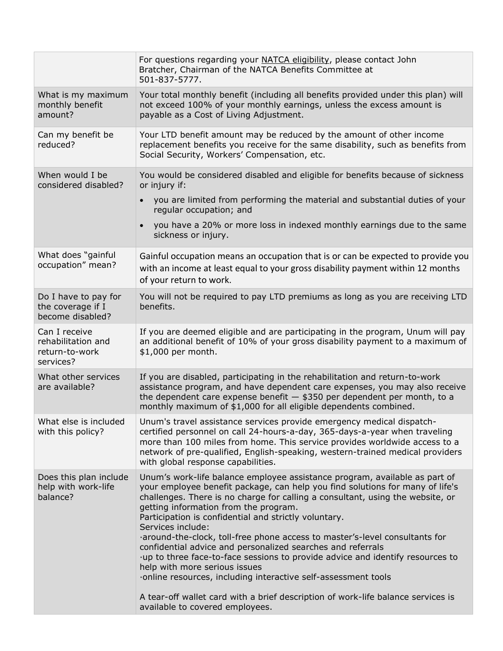|                                                                    | For questions regarding your NATCA eligibility, please contact John<br>Bratcher, Chairman of the NATCA Benefits Committee at<br>501-837-5777.                                                                                                                                                                                                                                                                                                                                                                                                                                                                                                                                                                                                                                                                                 |
|--------------------------------------------------------------------|-------------------------------------------------------------------------------------------------------------------------------------------------------------------------------------------------------------------------------------------------------------------------------------------------------------------------------------------------------------------------------------------------------------------------------------------------------------------------------------------------------------------------------------------------------------------------------------------------------------------------------------------------------------------------------------------------------------------------------------------------------------------------------------------------------------------------------|
| What is my maximum<br>monthly benefit<br>amount?                   | Your total monthly benefit (including all benefits provided under this plan) will<br>not exceed 100% of your monthly earnings, unless the excess amount is<br>payable as a Cost of Living Adjustment.                                                                                                                                                                                                                                                                                                                                                                                                                                                                                                                                                                                                                         |
| Can my benefit be<br>reduced?                                      | Your LTD benefit amount may be reduced by the amount of other income<br>replacement benefits you receive for the same disability, such as benefits from<br>Social Security, Workers' Compensation, etc.                                                                                                                                                                                                                                                                                                                                                                                                                                                                                                                                                                                                                       |
| When would I be<br>considered disabled?                            | You would be considered disabled and eligible for benefits because of sickness<br>or injury if:<br>you are limited from performing the material and substantial duties of your<br>regular occupation; and<br>you have a 20% or more loss in indexed monthly earnings due to the same<br>sickness or injury.                                                                                                                                                                                                                                                                                                                                                                                                                                                                                                                   |
| What does "gainful<br>occupation" mean?                            | Gainful occupation means an occupation that is or can be expected to provide you<br>with an income at least equal to your gross disability payment within 12 months<br>of your return to work.                                                                                                                                                                                                                                                                                                                                                                                                                                                                                                                                                                                                                                |
| Do I have to pay for<br>the coverage if I<br>become disabled?      | You will not be required to pay LTD premiums as long as you are receiving LTD<br>benefits.                                                                                                                                                                                                                                                                                                                                                                                                                                                                                                                                                                                                                                                                                                                                    |
| Can I receive<br>rehabilitation and<br>return-to-work<br>services? | If you are deemed eligible and are participating in the program, Unum will pay<br>an additional benefit of 10% of your gross disability payment to a maximum of<br>\$1,000 per month.                                                                                                                                                                                                                                                                                                                                                                                                                                                                                                                                                                                                                                         |
| What other services<br>are available?                              | If you are disabled, participating in the rehabilitation and return-to-work<br>assistance program, and have dependent care expenses, you may also receive<br>the dependent care expense benefit $-$ \$350 per dependent per month, to a<br>monthly maximum of \$1,000 for all eligible dependents combined.                                                                                                                                                                                                                                                                                                                                                                                                                                                                                                                   |
| What else is included<br>with this policy?                         | Unum's travel assistance services provide emergency medical dispatch-<br>certified personnel on call 24-hours-a-day, 365-days-a-year when traveling<br>more than 100 miles from home. This service provides worldwide access to a<br>network of pre-qualified, English-speaking, western-trained medical providers<br>with global response capabilities.                                                                                                                                                                                                                                                                                                                                                                                                                                                                      |
| Does this plan include<br>help with work-life<br>balance?          | Unum's work-life balance employee assistance program, available as part of<br>your employee benefit package, can help you find solutions for many of life's<br>challenges. There is no charge for calling a consultant, using the website, or<br>getting information from the program.<br>Participation is confidential and strictly voluntary.<br>Services include:<br>·around-the-clock, toll-free phone access to master's-level consultants for<br>confidential advice and personalized searches and referrals<br>·up to three face-to-face sessions to provide advice and identify resources to<br>help with more serious issues<br>online resources, including interactive self-assessment tools<br>A tear-off wallet card with a brief description of work-life balance services is<br>available to covered employees. |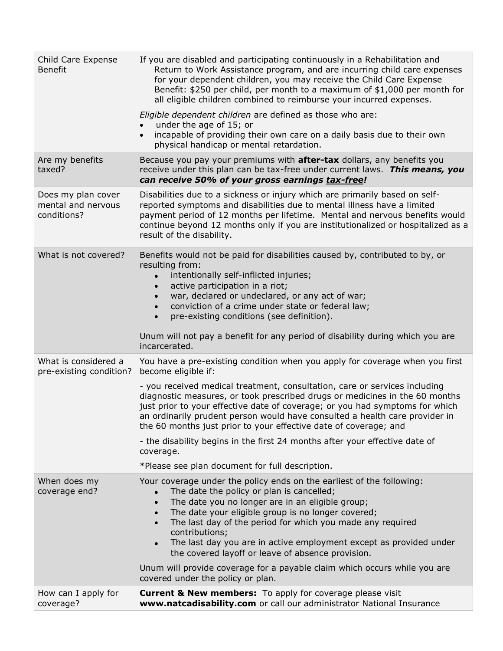| Child Care Expense<br><b>Benefit</b>                    | If you are disabled and participating continuously in a Rehabilitation and<br>Return to Work Assistance program, and are incurring child care expenses<br>for your dependent children, you may receive the Child Care Expense<br>Benefit: \$250 per child, per month to a maximum of \$1,000 per month for<br>all eligible children combined to reimburse your incurred expenses.<br>Eligible dependent children are defined as those who are:<br>under the age of 15; or<br>$\bullet$<br>incapable of providing their own care on a daily basis due to their own<br>$\bullet$<br>physical handicap or mental retardation.                         |
|---------------------------------------------------------|----------------------------------------------------------------------------------------------------------------------------------------------------------------------------------------------------------------------------------------------------------------------------------------------------------------------------------------------------------------------------------------------------------------------------------------------------------------------------------------------------------------------------------------------------------------------------------------------------------------------------------------------------|
| Are my benefits<br>taxed?                               | Because you pay your premiums with <b>after-tax</b> dollars, any benefits you<br>receive under this plan can be tax-free under current laws. This means, you<br>can receive 50% of your gross earnings tax-free!                                                                                                                                                                                                                                                                                                                                                                                                                                   |
| Does my plan cover<br>mental and nervous<br>conditions? | Disabilities due to a sickness or injury which are primarily based on self-<br>reported symptoms and disabilities due to mental illness have a limited<br>payment period of 12 months per lifetime. Mental and nervous benefits would<br>continue beyond 12 months only if you are institutionalized or hospitalized as a<br>result of the disability.                                                                                                                                                                                                                                                                                             |
| What is not covered?                                    | Benefits would not be paid for disabilities caused by, contributed to by, or<br>resulting from:<br>intentionally self-inflicted injuries;<br>active participation in a riot;<br>war, declared or undeclared, or any act of war;<br>conviction of a crime under state or federal law;<br>pre-existing conditions (see definition).<br>Unum will not pay a benefit for any period of disability during which you are<br>incarcerated.                                                                                                                                                                                                                |
| What is considered a<br>pre-existing condition?         | You have a pre-existing condition when you apply for coverage when you first<br>become eligible if:<br>- you received medical treatment, consultation, care or services including<br>diagnostic measures, or took prescribed drugs or medicines in the 60 months<br>just prior to your effective date of coverage; or you had symptoms for which<br>an ordinarily prudent person would have consulted a health care provider in<br>the 60 months just prior to your effective date of coverage; and<br>- the disability begins in the first 24 months after your effective date of<br>coverage.<br>*Please see plan document for full description. |
| When does my<br>coverage end?                           | Your coverage under the policy ends on the earliest of the following:<br>The date the policy or plan is cancelled;<br>The date you no longer are in an eligible group;<br>The date your eligible group is no longer covered;<br>The last day of the period for which you made any required<br>$\bullet$<br>contributions;<br>The last day you are in active employment except as provided under<br>the covered layoff or leave of absence provision.<br>Unum will provide coverage for a payable claim which occurs while you are<br>covered under the policy or plan.                                                                             |
| How can I apply for<br>coverage?                        | <b>Current &amp; New members:</b> To apply for coverage please visit<br>www.natcadisability.com or call our administrator National Insurance                                                                                                                                                                                                                                                                                                                                                                                                                                                                                                       |